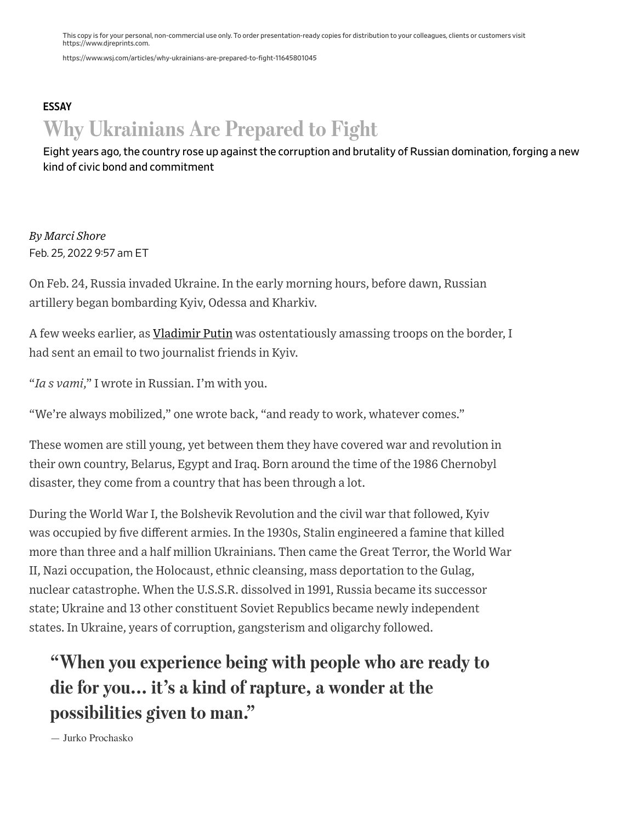This copy is for your personal, non-commercial use only. To order presentation-ready copies for distribution to your colleagues, clients or customers visit https://www.djreprints.com.

https://www.wsj.com/articles/why-ukrainians-are-prepared-to-fight-11645801045

# [ESSAY](https://www.wsj.com/news/types/essay?mod=bigtop-breadcrumb) Why Ukrainians Are Prepared to Fight

Eight years ago, the country rose up against the corruption and brutality of Russian domination, forging a new kind of civic bond and commitment

*By Marci Shore* Feb. 25, 2022 9:57 am ET

On Feb. 24, Russia invaded Ukraine. In the early morning hours, before dawn, Russian artillery began bombarding Kyiv, Odessa and Kharkiv.

A few weeks earlier, as [Vladimir](https://www.wsj.com/topics/person/vladimir-putin) Putin was ostentatiously amassing troops on the border, I had sent an email to two journalist friends in Kyiv.

"*Ia s vami*," I wrote in Russian. I'm with you.

"We're always mobilized," one wrote back, "and ready to work, whatever comes."

These women are still young, yet between them they have covered war and revolution in their own country, Belarus, Egypt and Iraq. Born around the time of the 1986 Chernobyl disaster, they come from a country that has been through a lot.

During the World War I, the Bolshevik Revolution and the civil war that followed, Kyiv was occupied by five different armies. In the 1930s, Stalin engineered a famine that killed more than three and a half million Ukrainians. Then came the Great Terror, the World War II, Nazi occupation, the Holocaust, ethnic cleansing, mass deportation to the Gulag, nuclear catastrophe. When the U.S.S.R. dissolved in 1991, Russia became its successor state; Ukraine and 13 other constituent Soviet Republics became newly independent states. In Ukraine, years of corruption, gangsterism and oligarchy followed.

# "When you experience being with people who are ready to die for you... it's a kind of rapture, a wonder at the possibilities given to man."

— Jurko Prochasko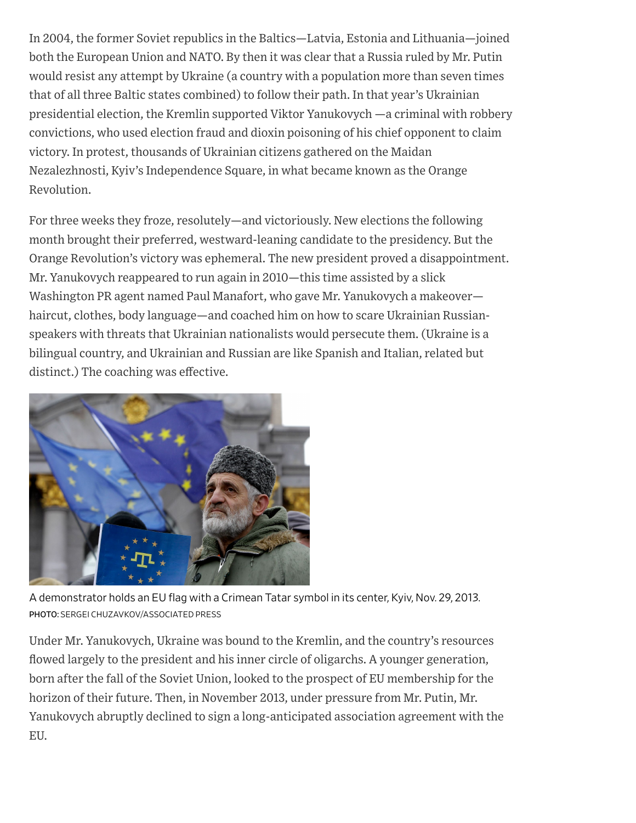In 2004, the former Soviet republics in the Baltics—Latvia, Estonia and Lithuania—joined both the European Union and NATO. By then it was clear that a Russia ruled by Mr. Putin would resist any attempt by Ukraine (a country with a population more than seven times that of all three Baltic states combined) to follow their path. In that year's Ukrainian presidential election, the Kremlin supported Viktor Yanukovych —a criminal with robbery convictions, who used election fraud and dioxin poisoning of his chief opponent to claim victory. In protest, thousands of Ukrainian citizens gathered on the Maidan Nezalezhnosti, Kyiv's Independence Square, in what became known as the Orange Revolution.

For three weeks they froze, resolutely—and victoriously. New elections the following month brought their preferred, westward-leaning candidate to the presidency. But the Orange Revolution's victory was ephemeral. The new president proved a disappointment. Mr. Yanukovych reappeared to run again in 2010—this time assisted by a slick Washington PR agent named Paul Manafort, who gave Mr. Yanukovych a makeover haircut, clothes, body language—and coached him on how to scare Ukrainian Russianspeakers with threats that Ukrainian nationalists would persecute them. (Ukraine is a bilingual country, and Ukrainian and Russian are like Spanish and Italian, related but distinct.) The coaching was effective.



A demonstrator holds an EU flag with a Crimean Tatar symbol in its center, Kyiv, Nov. 29, 2013. PHOTO: SERGEI CHUZAVKOV/ASSOCIATED PRESS

Under Mr. Yanukovych, Ukraine was bound to the Kremlin, and the country's resources flowed largely to the president and his inner circle of oligarchs. A younger generation, born after the fall of the Soviet Union, looked to the prospect of EU membership for the horizon of their future. Then, in November 2013, under pressure from Mr. Putin, Mr. Yanukovych abruptly declined to sign a long-anticipated association agreement with the EU.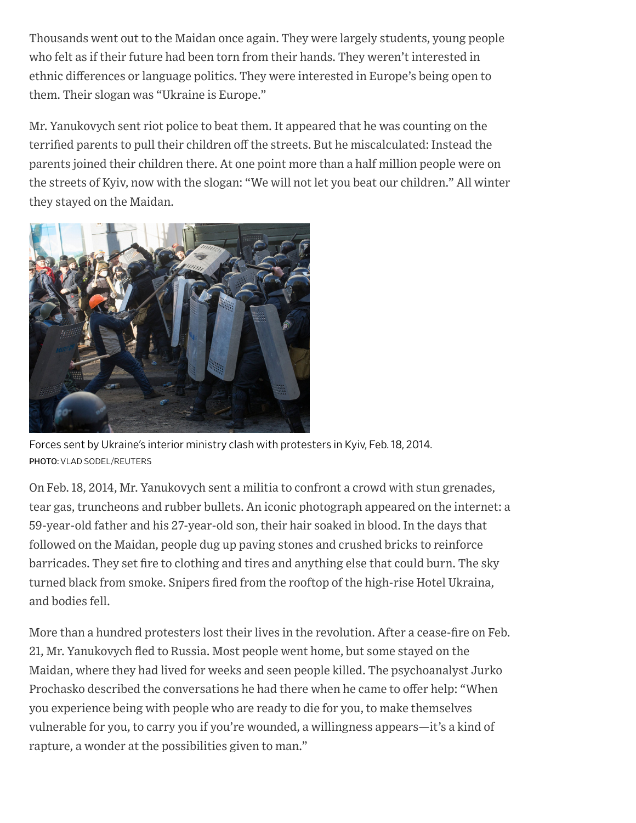Thousands went out to the Maidan once again. They were largely students, young people who felt as if their future had been torn from their hands. They weren't interested in ethnic differences or language politics. They were interested in Europe's being open to them. Their slogan was "Ukraine is Europe."

Mr. Yanukovych sent riot police to beat them. It appeared that he was counting on the terrified parents to pull their children off the streets. But he miscalculated: Instead the parents joined their children there. At one point more than a half million people were on the streets of Kyiv, now with the slogan: "We will not let you beat our children." All winter they stayed on the Maidan.



Forces sent by Ukraine's interior ministry clash with protesters in Kyiv, Feb. 18, 2014. PHOTO: VLAD SODEL/REUTERS

On Feb. 18, 2014, Mr. Yanukovych sent a militia to confront a crowd with stun grenades, tear gas, truncheons and rubber bullets. An iconic photograph appeared on the internet: a 59-year-old father and his 27-year-old son, their hair soaked in blood. In the days that followed on the Maidan, people dug up paving stones and crushed bricks to reinforce barricades. They set fire to clothing and tires and anything else that could burn. The sky turned black from smoke. Snipers fired from the rooftop of the high-rise Hotel Ukraina, and bodies fell.

More than a hundred protesters lost their lives in the revolution. After a cease-fire on Feb. 21, Mr. Yanukovych fled to Russia. Most people went home, but some stayed on the Maidan, where they had lived for weeks and seen people killed. The psychoanalyst Jurko Prochasko described the conversations he had there when he came to offer help: "When you experience being with people who are ready to die for you, to make themselves vulnerable for you, to carry you if you're wounded, a willingness appears—it's a kind of rapture, a wonder at the possibilities given to man."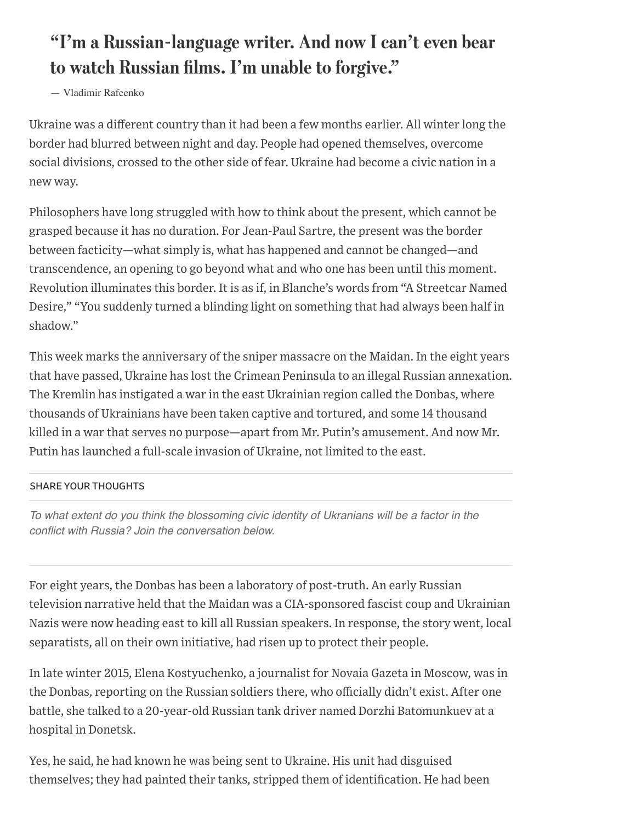## "I'm a Russian-language writer. And now I can't even bear to watch Russian films. I'm unable to forgive."

— Vladimir Rafeenko

Ukraine was a different country than it had been a few months earlier. All winter long the border had blurred between night and day. People had opened themselves, overcome social divisions, crossed to the other side of fear. Ukraine had become a civic nation in a new way.

Philosophers have long struggled with how to think about the present, which cannot be grasped because it has no duration. For Jean-Paul Sartre, the present was the border between facticity—what simply is, what has happened and cannot be changed—and transcendence, an opening to go beyond what and who one has been until this moment. Revolution illuminates this border. It is as if, in Blanche's words from "A Streetcar Named Desire," "You suddenly turned a blinding light on something that had always been half in shadow."

This week marks the anniversary of the sniper massacre on the Maidan. In the eight years that have passed, Ukraine has lost the Crimean Peninsula to an illegal Russian annexation. The Kremlin has instigated a war in the east Ukrainian region called the Donbas, where thousands of Ukrainians have been taken captive and tortured, and some 14 thousand killed in a war that serves no purpose—apart from Mr. Putin's amusement. And now Mr. Putin has launched a full-scale invasion of Ukraine, not limited to the east.

### SHARE YOUR THOUGHTS

*To what extent do you think the blossoming civic identity of Ukranians will be a factor in the conflict with Russia? Join the conversation below.*

For eight years, the Donbas has been a laboratory of post-truth. An early Russian television narrative held that the Maidan was a CIA-sponsored fascist coup and Ukrainian Nazis were now heading east to kill all Russian speakers. In response, the story went, local separatists, all on their own initiative, had risen up to protect their people.

In late winter 2015, Elena Kostyuchenko, a journalist for Novaia Gazeta in Moscow, was in the Donbas, reporting on the Russian soldiers there, who officially didn't exist. After one battle, she talked to a 20-year-old Russian tank driver named Dorzhi Batomunkuev at a hospital in Donetsk.

Yes, he said, he had known he was being sent to Ukraine. His unit had disguised themselves; they had painted their tanks, stripped them of identification. He had been